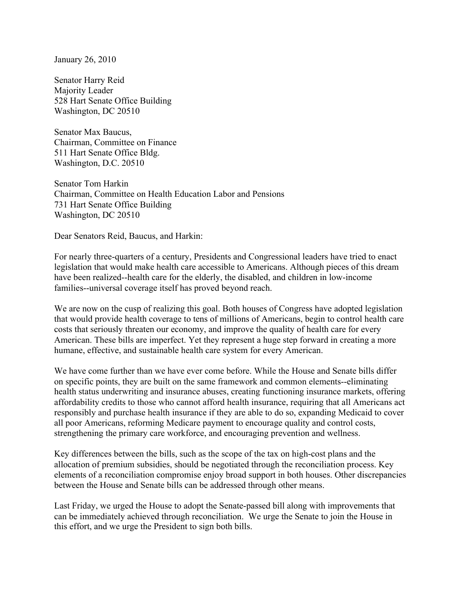January 26, 2010

Senator Harry Reid Majority Leader 528 Hart Senate Office Building Washington, DC 20510

Senator Max Baucus, Chairman, Committee on Finance 511 Hart Senate Office Bldg. Washington, D.C. 20510

Senator Tom Harkin Chairman, Committee on Health Education Labor and Pensions 731 Hart Senate Office Building Washington, DC 20510

Dear Senators Reid, Baucus, and Harkin:

For nearly three-quarters of a century, Presidents and Congressional leaders have tried to enact legislation that would make health care accessible to Americans. Although pieces of this dream have been realized--health care for the elderly, the disabled, and children in low-income families--universal coverage itself has proved beyond reach.

We are now on the cusp of realizing this goal. Both houses of Congress have adopted legislation that would provide health coverage to tens of millions of Americans, begin to control health care costs that seriously threaten our economy, and improve the quality of health care for every American. These bills are imperfect. Yet they represent a huge step forward in creating a more humane, effective, and sustainable health care system for every American.

We have come further than we have ever come before. While the House and Senate bills differ on specific points, they are built on the same framework and common elements--eliminating health status underwriting and insurance abuses, creating functioning insurance markets, offering affordability credits to those who cannot afford health insurance, requiring that all Americans act responsibly and purchase health insurance if they are able to do so, expanding Medicaid to cover all poor Americans, reforming Medicare payment to encourage quality and control costs, strengthening the primary care workforce, and encouraging prevention and wellness.

Key differences between the bills, such as the scope of the tax on high-cost plans and the allocation of premium subsidies, should be negotiated through the reconciliation process. Key elements of a reconciliation compromise enjoy broad support in both houses. Other discrepancies between the House and Senate bills can be addressed through other means.

Last Friday, we urged the House to adopt the Senate-passed bill along with improvements that can be immediately achieved through reconciliation. We urge the Senate to join the House in this effort, and we urge the President to sign both bills.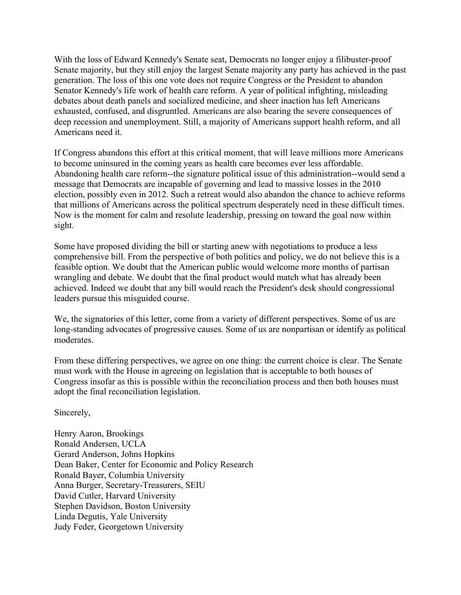With the loss of Edward Kennedy's Senate seat, Democrats no longer enjoy a filibuster-proof Senate majority, but they still enjoy the largest Senate majority any party has achieved in the past generation. The loss of this one vote does not require Congress or the President to abandon Senator Kennedy's life work of health care reform. A year of political infighting, misleading debates about death panels and socialized medicine, and sheer inaction has left Americans exhausted, confused, and disgruntled. Americans are also bearing the severe consequences of deep recession and unemployment. Still, a majority of Americans support health reform, and all Americans need it.

If Congress abandons this effort at this critical moment, that will leave millions more Americans to become uninsured in the coming years as health care becomes ever less affordable. Abandoning health care reform--the signature political issue of this administration--would send a message that Democrats are incapable of governing and lead to massive losses in the 2010 election, possibly even in 2012. Such a retreat would also abandon the chance to achieve reforms that millions of Americans across the political spectrum desperately need in these difficult times. Now is the moment for calm and resolute leadership, pressing on toward the goal now within sight.

Some have proposed dividing the bill or starting anew with negotiations to produce a less comprehensive bill. From the perspective of both politics and policy, we do not believe this is a feasible option. We doubt that the American public would welcome more months of partisan wrangling and debate. We doubt that the final product would match what has already been achieved. Indeed we doubt that any bill would reach the President's desk should congressional leaders pursue this misguided course.

We, the signatories of this letter, come from a variety of different perspectives. Some of us are long-standing advocates of progressive causes. Some of us are nonpartisan or identify as political moderates.

From these differing perspectives, we agree on one thing: the current choice is clear. The Senate must work with the House in agreeing on legislation that is acceptable to both houses of Congress insofar as this is possible within the reconciliation process and then both houses must adopt the final reconciliation legislation.

Sincerely,

Henry Aaron, Brookings Ronald Andersen, UCLA Gerard Anderson, Johns Hopkins Dean Baker, Center for Economic and Policy Research Ronald Bayer, Columbia University Anna Burger, Secretary-Treasurers, SEIU David Cutler, Harvard University Stephen Davidson, Boston University Linda Degutis, Yale University Judy Feder, Georgetown University